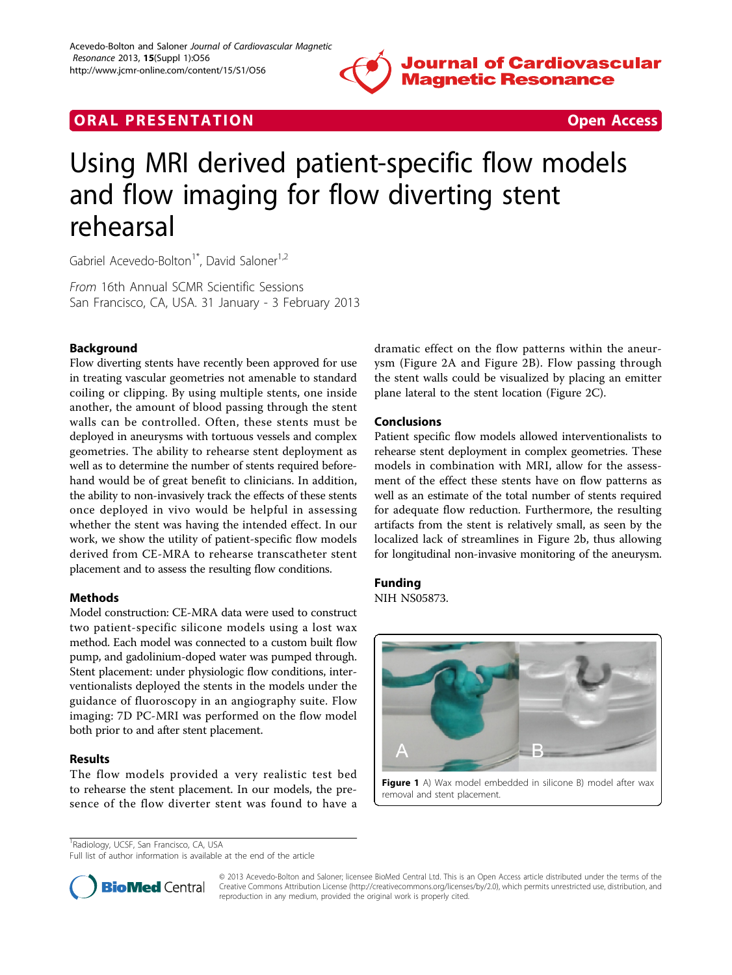

## **ORAL PRESENTATION CONSUMING ACCESS**



# Using MRI derived patient-specific flow models and flow imaging for flow diverting stent rehearsal

Gabriel Acevedo-Bolton<sup>1\*</sup>, David Saloner<sup>1,2</sup>

From 16th Annual SCMR Scientific Sessions San Francisco, CA, USA. 31 January - 3 February 2013

## Background

Flow diverting stents have recently been approved for use in treating vascular geometries not amenable to standard coiling or clipping. By using multiple stents, one inside another, the amount of blood passing through the stent walls can be controlled. Often, these stents must be deployed in aneurysms with tortuous vessels and complex geometries. The ability to rehearse stent deployment as well as to determine the number of stents required beforehand would be of great benefit to clinicians. In addition, the ability to non-invasively track the effects of these stents once deployed in vivo would be helpful in assessing whether the stent was having the intended effect. In our work, we show the utility of patient-specific flow models derived from CE-MRA to rehearse transcatheter stent placement and to assess the resulting flow conditions.

## Methods

Model construction: CE-MRA data were used to construct two patient-specific silicone models using a lost wax method. Each model was connected to a custom built flow pump, and gadolinium-doped water was pumped through. Stent placement: under physiologic flow conditions, interventionalists deployed the stents in the models under the guidance of fluoroscopy in an angiography suite. Flow imaging: 7D PC-MRI was performed on the flow model both prior to and after stent placement.

## Results

The flow models provided a very realistic test bed to rehearse the stent placement. In our models, the presence of the flow diverter stent was found to have a

dramatic effect on the flow patterns within the aneurysm (Figure [2A](#page-1-0) and Figure [2B](#page-1-0)). Flow passing through the stent walls could be visualized by placing an emitter plane lateral to the stent location (Figure [2C](#page-1-0)).

## Conclusions

Patient specific flow models allowed interventionalists to rehearse stent deployment in complex geometries. These models in combination with MRI, allow for the assessment of the effect these stents have on flow patterns as well as an estimate of the total number of stents required for adequate flow reduction. Furthermore, the resulting artifacts from the stent is relatively small, as seen by the localized lack of streamlines in Figure [2b](#page-1-0), thus allowing for longitudinal non-invasive monitoring of the aneurysm.

## Funding

NIH NS05873.



Figure 1 A) Wax model embedded in silicone B) model after wax removal and stent placement.

Full list of author information is available at the end of the article



© 2013 Acevedo-Bolton and Saloner; licensee BioMed Central Ltd. This is an Open Access article distributed under the terms of the Creative Commons Attribution License (<http://creativecommons.org/licenses/by/2.0>), which permits unrestricted use, distribution, and reproduction in any medium, provided the original work is properly cited.

<sup>&</sup>lt;sup>1</sup>Radiology, UCSF, San Francisco, CA, USA